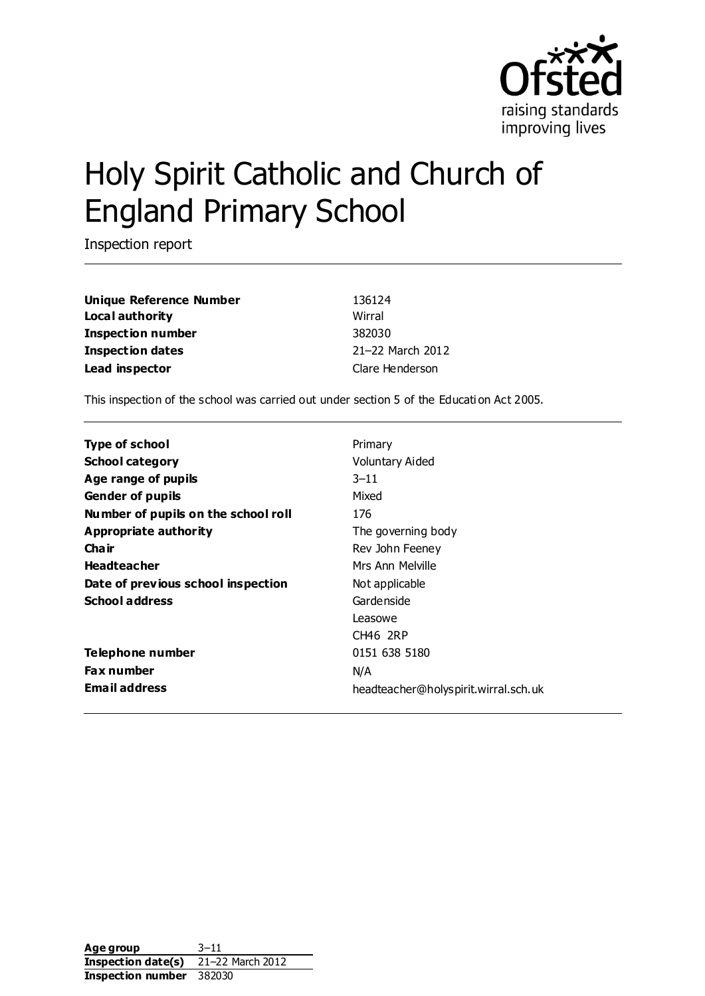

# Holy Spirit Catholic and Church of England Primary School

Inspection report

**Unique Reference Number** 136124 **Local authority** Wirral **Inspection number** 382030 **Inspection dates** 21–22 March 2012 Lead inspector and the clare Henderson clare Henderson

This inspection of the school was carried out under section 5 of the Educati on Act 2005.

| <b>Type of school</b>               | Primary                              |
|-------------------------------------|--------------------------------------|
| <b>School category</b>              | Voluntary Aided                      |
| Age range of pupils                 | $3 - 11$                             |
| <b>Gender of pupils</b>             | Mixed                                |
| Number of pupils on the school roll | 176                                  |
| Appropriate authority               | The governing body                   |
| Cha ir                              | Rev John Feeney                      |
| <b>Headteacher</b>                  | Mrs Ann Melville                     |
| Date of previous school inspection  | Not applicable                       |
| <b>School address</b>               | Gardenside                           |
|                                     | Leasowe                              |
|                                     | CH46 2RP                             |
| Telephone number                    | 0151 638 5180                        |
| <b>Fax number</b>                   | N/A                                  |
| <b>Email address</b>                | headteacher@holyspirit.wirral.sch.uk |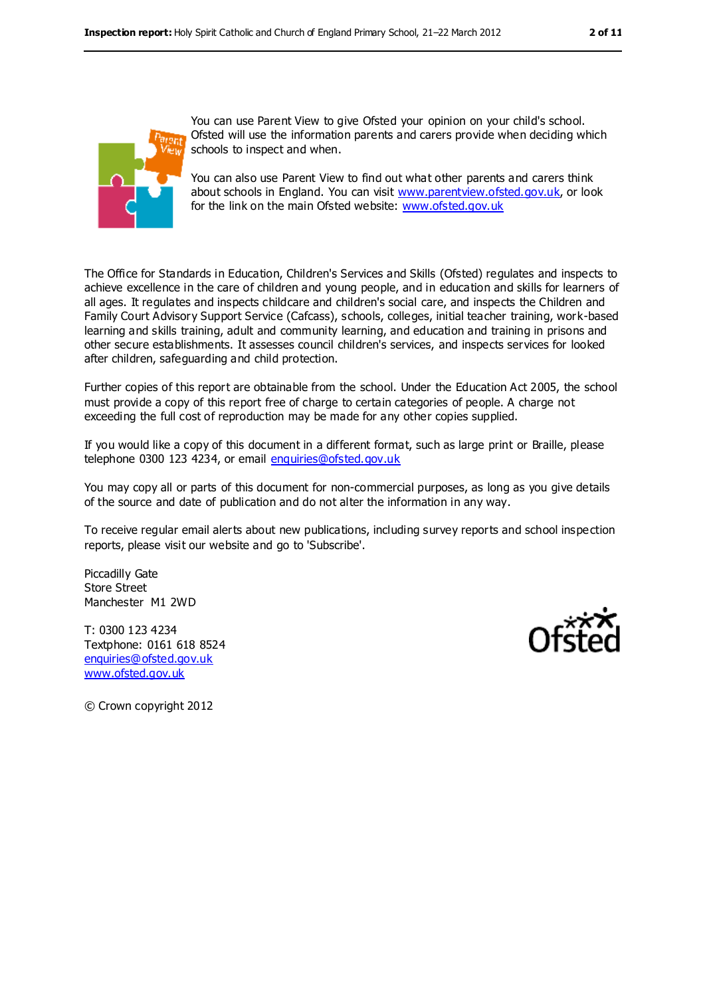

You can use Parent View to give Ofsted your opinion on your child's school. Ofsted will use the information parents and carers provide when deciding which schools to inspect and when.

You can also use Parent View to find out what other parents and carers think about schools in England. You can visit [www.parentview.ofsted.gov.uk,](../AppData/Local/Microsoft/Windows/Temporary%20Internet%20Files/Content.IE5/WY203F5T/www.parentview.ofsted.gov.uk) or look for the link on the main Ofsted website: [www.ofsted.gov.uk](../AppData/Local/Microsoft/Windows/Temporary%20Internet%20Files/Content.IE5/WY203F5T/www.ofsted.gov.uk)

The Office for Standards in Education, Children's Services and Skills (Ofsted) regulates and inspects to achieve excellence in the care of children and young people, and in education and skills for learners of all ages. It regulates and inspects childcare and children's social care, and inspects the Children and Family Court Advisory Support Service (Cafcass), schools, colleges, initial teacher training, work-based learning and skills training, adult and community learning, and education and training in prisons and other secure establishments. It assesses council children's services, and inspects services for looked after children, safeguarding and child protection.

Further copies of this report are obtainable from the school. Under the Education Act 2005, the school must provide a copy of this report free of charge to certain categories of people. A charge not exceeding the full cost of reproduction may be made for any other copies supplied.

If you would like a copy of this document in a different format, such as large print or Braille, please telephone 0300 123 4234, or email [enquiries@ofsted.gov.uk](mailto:enquiries@ofsted.gov.uk)

You may copy all or parts of this document for non-commercial purposes, as long as you give details of the source and date of publication and do not alter the information in any way.

To receive regular email alerts about new publications, including survey reports and school inspection reports, please visit our website and go to 'Subscribe'.

Piccadilly Gate Store Street Manchester M1 2WD

T: 0300 123 4234 Textphone: 0161 618 8524 [enquiries@ofsted.gov.uk](mailto:enquiries@ofsted.gov.uk) [www.ofsted.gov.uk](http://www.ofsted.gov.uk/)



© Crown copyright 2012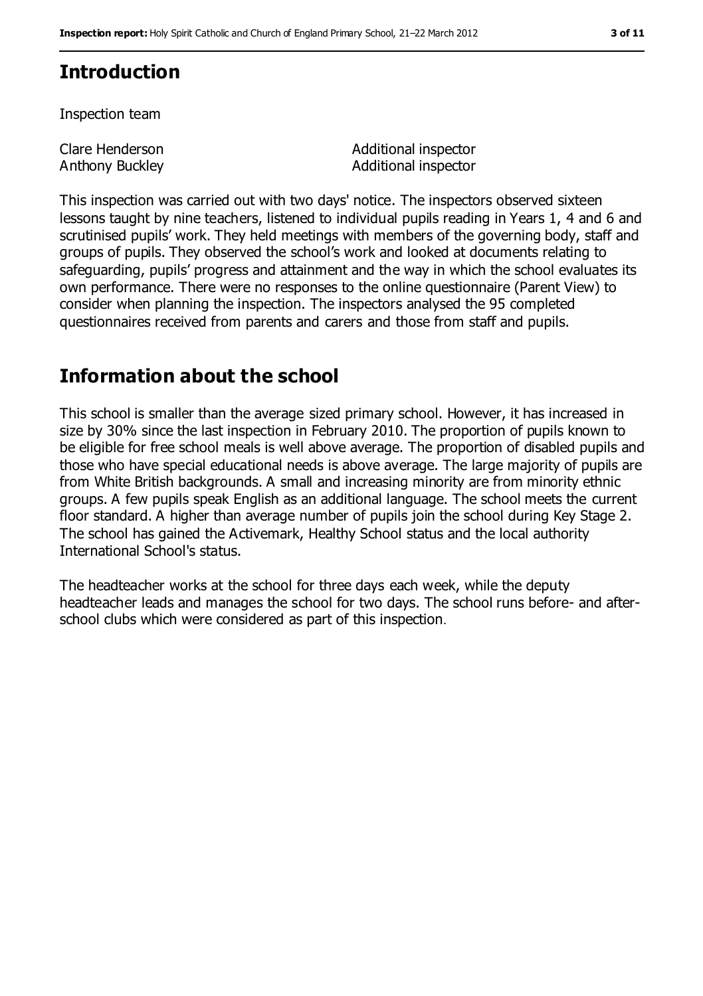# **Introduction**

Inspection team

Clare Henderson Anthony Buckley Additional inspector Additional inspector

This inspection was carried out with two days' notice. The inspectors observed sixteen lessons taught by nine teachers, listened to individual pupils reading in Years 1, 4 and 6 and scrutinised pupils' work. They held meetings with members of the governing body, staff and groups of pupils. They observed the school's work and looked at documents relating to safeguarding, pupils' progress and attainment and the way in which the school evaluates its own performance. There were no responses to the online questionnaire (Parent View) to consider when planning the inspection. The inspectors analysed the 95 completed questionnaires received from parents and carers and those from staff and pupils.

# **Information about the school**

This school is smaller than the average sized primary school. However, it has increased in size by 30% since the last inspection in February 2010. The proportion of pupils known to be eligible for free school meals is well above average. The proportion of disabled pupils and those who have special educational needs is above average. The large majority of pupils are from White British backgrounds. A small and increasing minority are from minority ethnic groups. A few pupils speak English as an additional language. The school meets the current floor standard. A higher than average number of pupils join the school during Key Stage 2. The school has gained the Activemark, Healthy School status and the local authority International School's status.

The headteacher works at the school for three days each week, while the deputy headteacher leads and manages the school for two days. The school runs before- and afterschool clubs which were considered as part of this inspection.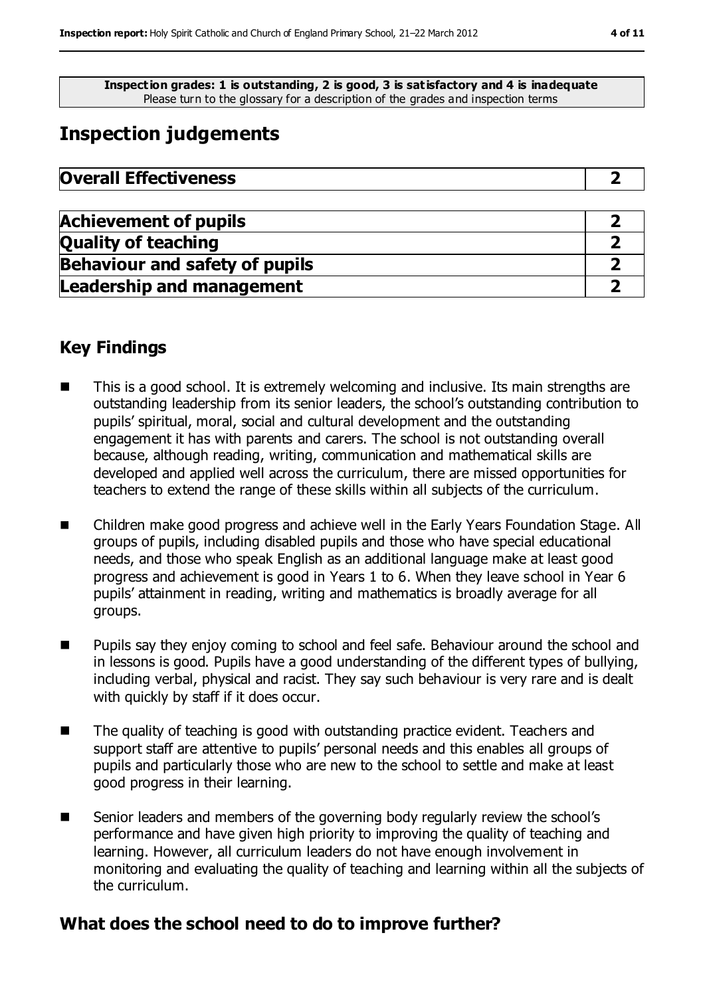**Inspection grades: 1 is outstanding, 2 is good, 3 is satisfactory and 4 is inadequate** Please turn to the glossary for a description of the grades and inspection terms

# **Inspection judgements**

| <b>Overall Effectiveness</b> |  |
|------------------------------|--|
|------------------------------|--|

| <b>Achievement of pupils</b>          |  |
|---------------------------------------|--|
| <b>Quality of teaching</b>            |  |
| <b>Behaviour and safety of pupils</b> |  |
| <b>Leadership and management</b>      |  |

### **Key Findings**

- This is a good school. It is extremely welcoming and inclusive. Its main strengths are outstanding leadership from its senior leaders, the school's outstanding contribution to pupils' spiritual, moral, social and cultural development and the outstanding engagement it has with parents and carers. The school is not outstanding overall because, although reading, writing, communication and mathematical skills are developed and applied well across the curriculum, there are missed opportunities for teachers to extend the range of these skills within all subjects of the curriculum.
- Children make good progress and achieve well in the Early Years Foundation Stage. All groups of pupils, including disabled pupils and those who have special educational needs, and those who speak English as an additional language make at least good progress and achievement is good in Years 1 to 6. When they leave school in Year 6 pupils' attainment in reading, writing and mathematics is broadly average for all groups.
- **Pupils say they enjoy coming to school and feel safe. Behaviour around the school and** in lessons is good. Pupils have a good understanding of the different types of bullying, including verbal, physical and racist. They say such behaviour is very rare and is dealt with quickly by staff if it does occur.
- The quality of teaching is good with outstanding practice evident. Teachers and support staff are attentive to pupils' personal needs and this enables all groups of pupils and particularly those who are new to the school to settle and make at least good progress in their learning.
- Senior leaders and members of the governing body regularly review the school's performance and have given high priority to improving the quality of teaching and learning. However, all curriculum leaders do not have enough involvement in monitoring and evaluating the quality of teaching and learning within all the subjects of the curriculum.

#### **What does the school need to do to improve further?**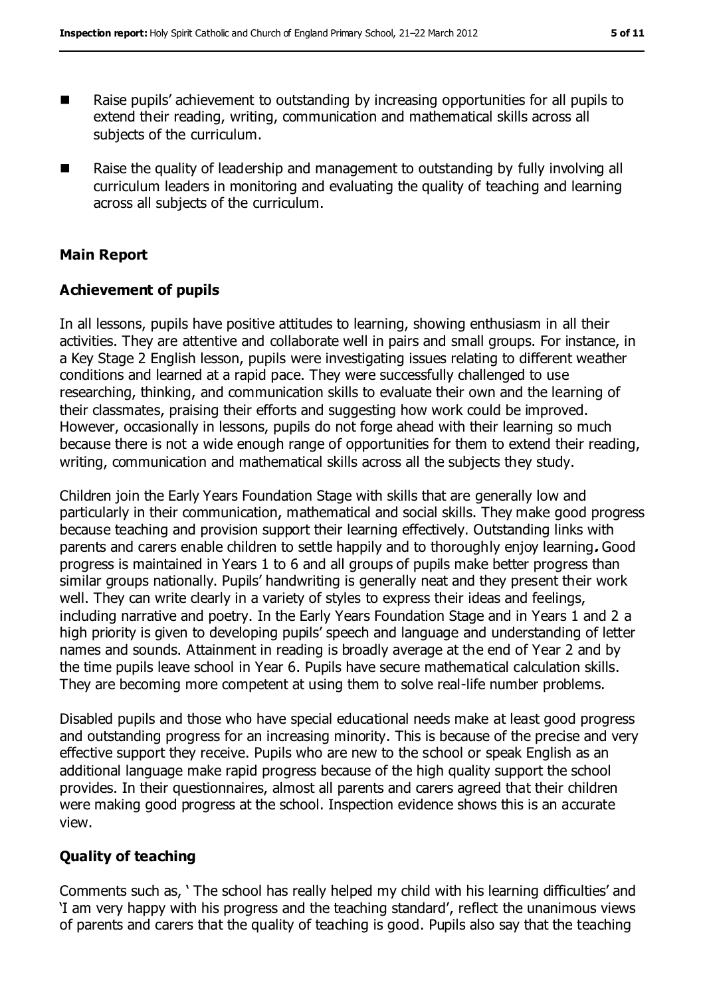- Raise pupils' achievement to outstanding by increasing opportunities for all pupils to extend their reading, writing, communication and mathematical skills across all subjects of the curriculum.
- Raise the quality of leadership and management to outstanding by fully involving all curriculum leaders in monitoring and evaluating the quality of teaching and learning across all subjects of the curriculum.

#### **Main Report**

#### **Achievement of pupils**

In all lessons, pupils have positive attitudes to learning, showing enthusiasm in all their activities. They are attentive and collaborate well in pairs and small groups. For instance, in a Key Stage 2 English lesson, pupils were investigating issues relating to different weather conditions and learned at a rapid pace. They were successfully challenged to use researching, thinking, and communication skills to evaluate their own and the learning of their classmates, praising their efforts and suggesting how work could be improved. However, occasionally in lessons, pupils do not forge ahead with their learning so much because there is not a wide enough range of opportunities for them to extend their reading, writing, communication and mathematical skills across all the subjects they study.

Children join the Early Years Foundation Stage with skills that are generally low and particularly in their communication, mathematical and social skills. They make good progress because teaching and provision support their learning effectively. Outstanding links with parents and carers enable children to settle happily and to thoroughly enjoy learning**.** Good progress is maintained in Years 1 to 6 and all groups of pupils make better progress than similar groups nationally. Pupils' handwriting is generally neat and they present their work well. They can write clearly in a variety of styles to express their ideas and feelings, including narrative and poetry. In the Early Years Foundation Stage and in Years 1 and 2 a high priority is given to developing pupils' speech and language and understanding of letter names and sounds. Attainment in reading is broadly average at the end of Year 2 and by the time pupils leave school in Year 6. Pupils have secure mathematical calculation skills. They are becoming more competent at using them to solve real-life number problems.

Disabled pupils and those who have special educational needs make at least good progress and outstanding progress for an increasing minority. This is because of the precise and very effective support they receive. Pupils who are new to the school or speak English as an additional language make rapid progress because of the high quality support the school provides. In their questionnaires, almost all parents and carers agreed that their children were making good progress at the school. Inspection evidence shows this is an accurate view.

#### **Quality of teaching**

Comments such as, ' The school has really helped my child with his learning difficulties' and 'I am very happy with his progress and the teaching standard', reflect the unanimous views of parents and carers that the quality of teaching is good. Pupils also say that the teaching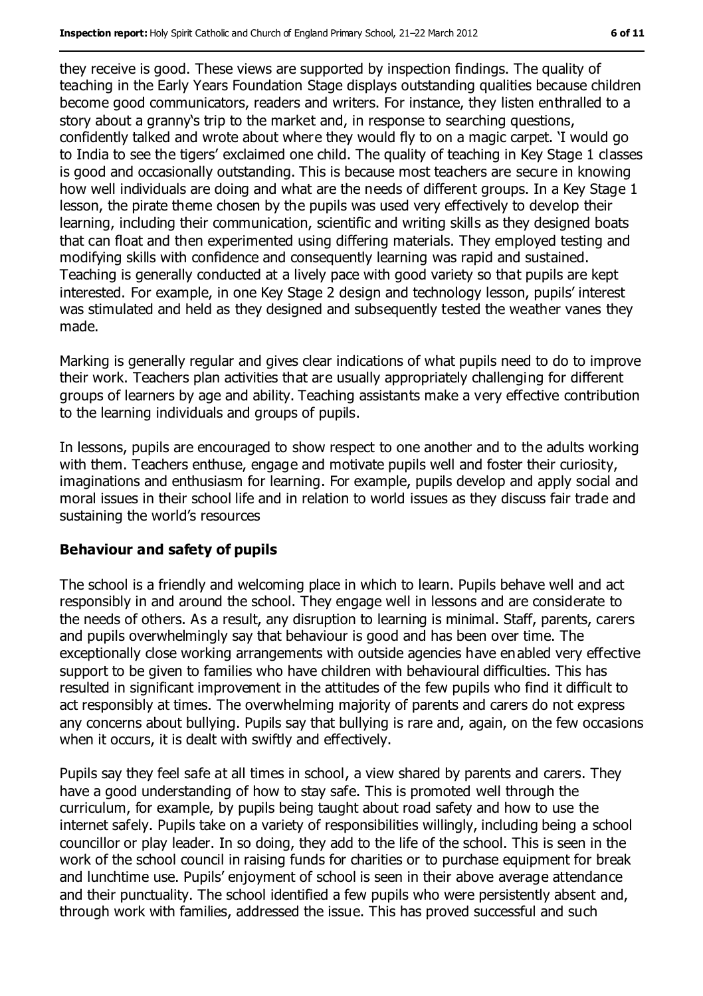they receive is good. These views are supported by inspection findings. The quality of teaching in the Early Years Foundation Stage displays outstanding qualities because children become good communicators, readers and writers. For instance, they listen enthralled to a story about a granny's trip to the market and, in response to searching questions, confidently talked and wrote about where they would fly to on a magic carpet. 'I would go to India to see the tigers' exclaimed one child. The quality of teaching in Key Stage 1 classes is good and occasionally outstanding. This is because most teachers are secure in knowing how well individuals are doing and what are the needs of different groups. In a Key Stage 1 lesson, the pirate theme chosen by the pupils was used very effectively to develop their learning, including their communication, scientific and writing skills as they designed boats that can float and then experimented using differing materials. They employed testing and modifying skills with confidence and consequently learning was rapid and sustained. Teaching is generally conducted at a lively pace with good variety so that pupils are kept interested. For example, in one Key Stage 2 design and technology lesson, pupils' interest was stimulated and held as they designed and subsequently tested the weather vanes they made.

Marking is generally regular and gives clear indications of what pupils need to do to improve their work. Teachers plan activities that are usually appropriately challenging for different groups of learners by age and ability. Teaching assistants make a very effective contribution to the learning individuals and groups of pupils.

In lessons, pupils are encouraged to show respect to one another and to the adults working with them. Teachers enthuse, engage and motivate pupils well and foster their curiosity, imaginations and enthusiasm for learning. For example, pupils develop and apply social and moral issues in their school life and in relation to world issues as they discuss fair trade and sustaining the world's resources

#### **Behaviour and safety of pupils**

The school is a friendly and welcoming place in which to learn. Pupils behave well and act responsibly in and around the school. They engage well in lessons and are considerate to the needs of others. As a result, any disruption to learning is minimal. Staff, parents, carers and pupils overwhelmingly say that behaviour is good and has been over time. The exceptionally close working arrangements with outside agencies have enabled very effective support to be given to families who have children with behavioural difficulties. This has resulted in significant improvement in the attitudes of the few pupils who find it difficult to act responsibly at times. The overwhelming majority of parents and carers do not express any concerns about bullying. Pupils say that bullying is rare and, again, on the few occasions when it occurs, it is dealt with swiftly and effectively.

Pupils say they feel safe at all times in school, a view shared by parents and carers. They have a good understanding of how to stay safe. This is promoted well through the curriculum, for example, by pupils being taught about road safety and how to use the internet safely. Pupils take on a variety of responsibilities willingly, including being a school councillor or play leader. In so doing, they add to the life of the school. This is seen in the work of the school council in raising funds for charities or to purchase equipment for break and lunchtime use. Pupils' enjoyment of school is seen in their above average attendance and their punctuality. The school identified a few pupils who were persistently absent and, through work with families, addressed the issue. This has proved successful and such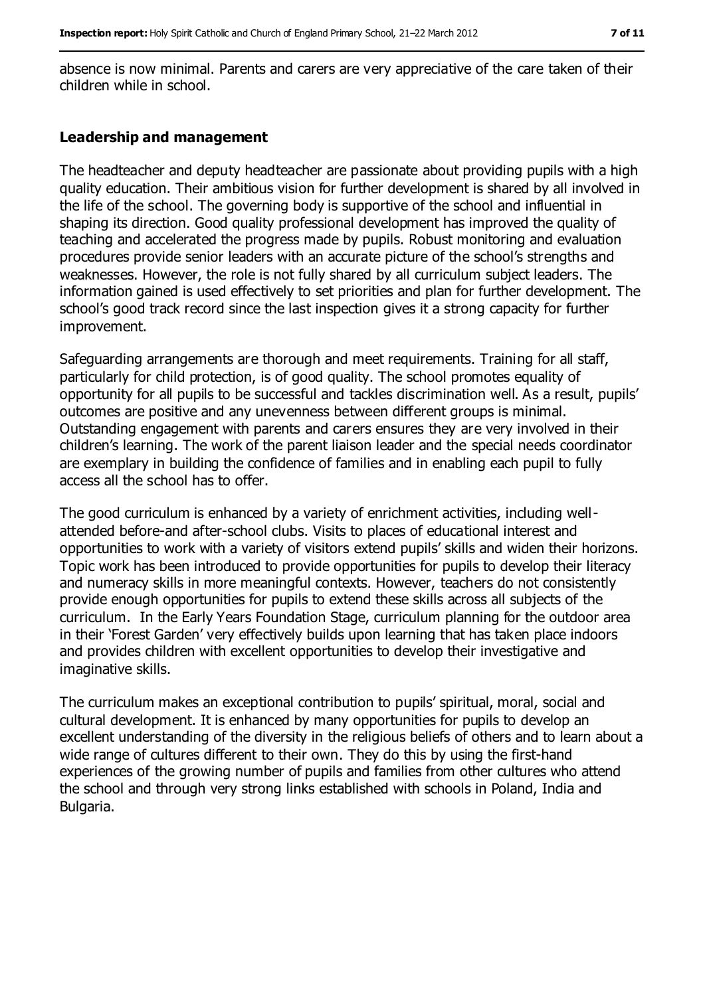absence is now minimal. Parents and carers are very appreciative of the care taken of their children while in school.

#### **Leadership and management**

The headteacher and deputy headteacher are passionate about providing pupils with a high quality education. Their ambitious vision for further development is shared by all involved in the life of the school. The governing body is supportive of the school and influential in shaping its direction. Good quality professional development has improved the quality of teaching and accelerated the progress made by pupils. Robust monitoring and evaluation procedures provide senior leaders with an accurate picture of the school's strengths and weaknesses. However, the role is not fully shared by all curriculum subject leaders. The information gained is used effectively to set priorities and plan for further development. The school's good track record since the last inspection gives it a strong capacity for further improvement.

Safeguarding arrangements are thorough and meet requirements. Training for all staff, particularly for child protection, is of good quality. The school promotes equality of opportunity for all pupils to be successful and tackles discrimination well. As a result, pupils' outcomes are positive and any unevenness between different groups is minimal. Outstanding engagement with parents and carers ensures they are very involved in their children's learning. The work of the parent liaison leader and the special needs coordinator are exemplary in building the confidence of families and in enabling each pupil to fully access all the school has to offer.

The good curriculum is enhanced by a variety of enrichment activities, including wellattended before-and after-school clubs. Visits to places of educational interest and opportunities to work with a variety of visitors extend pupils' skills and widen their horizons. Topic work has been introduced to provide opportunities for pupils to develop their literacy and numeracy skills in more meaningful contexts. However, teachers do not consistently provide enough opportunities for pupils to extend these skills across all subjects of the curriculum. In the Early Years Foundation Stage, curriculum planning for the outdoor area in their 'Forest Garden' very effectively builds upon learning that has taken place indoors and provides children with excellent opportunities to develop their investigative and imaginative skills.

The curriculum makes an exceptional contribution to pupils' spiritual, moral, social and cultural development. It is enhanced by many opportunities for pupils to develop an excellent understanding of the diversity in the religious beliefs of others and to learn about a wide range of cultures different to their own. They do this by using the first-hand experiences of the growing number of pupils and families from other cultures who attend the school and through very strong links established with schools in Poland, India and Bulgaria.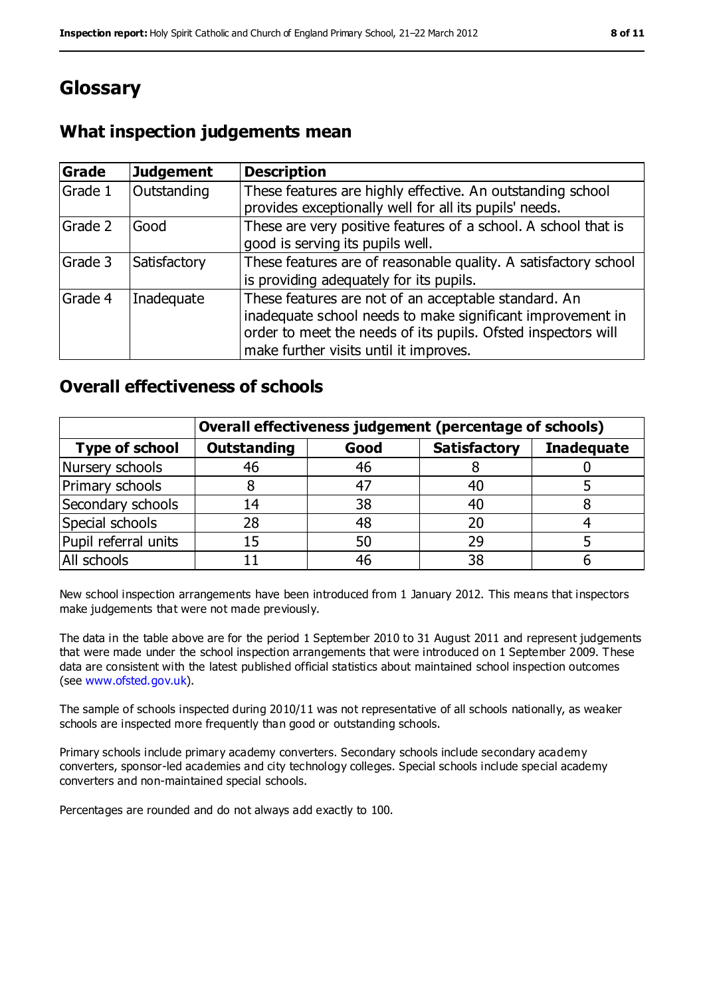# **Glossary**

## **What inspection judgements mean**

| Grade   | <b>Judgement</b> | <b>Description</b>                                                                                                                                                                                                            |
|---------|------------------|-------------------------------------------------------------------------------------------------------------------------------------------------------------------------------------------------------------------------------|
| Grade 1 | Outstanding      | These features are highly effective. An outstanding school<br>provides exceptionally well for all its pupils' needs.                                                                                                          |
| Grade 2 | Good             | These are very positive features of a school. A school that is<br>good is serving its pupils well.                                                                                                                            |
| Grade 3 | Satisfactory     | These features are of reasonable quality. A satisfactory school<br>is providing adequately for its pupils.                                                                                                                    |
| Grade 4 | Inadequate       | These features are not of an acceptable standard. An<br>inadequate school needs to make significant improvement in<br>order to meet the needs of its pupils. Ofsted inspectors will<br>make further visits until it improves. |

### **Overall effectiveness of schools**

|                       | Overall effectiveness judgement (percentage of schools) |      |                     |                   |
|-----------------------|---------------------------------------------------------|------|---------------------|-------------------|
| <b>Type of school</b> | <b>Outstanding</b>                                      | Good | <b>Satisfactory</b> | <b>Inadequate</b> |
| Nursery schools       | 46                                                      | 46   |                     |                   |
| Primary schools       |                                                         | 47   | 40                  |                   |
| Secondary schools     | 14                                                      | 38   | 40                  |                   |
| Special schools       | 28                                                      | 48   |                     |                   |
| Pupil referral units  | 15                                                      | 50   | 29                  |                   |
| All schools           |                                                         | 46   | 38                  |                   |

New school inspection arrangements have been introduced from 1 January 2012. This means that inspectors make judgements that were not made previously.

The data in the table above are for the period 1 September 2010 to 31 August 2011 and represent judgements that were made under the school inspection arrangements that were introduced on 1 September 2009. These data are consistent with the latest published official statistics about maintained school inspection outcomes (see [www.ofsted.gov.uk\)](../AppData/Local/Microsoft/Windows/Temporary%20Internet%20Files/Content.IE5/WY203F5T/www.ofsted.gov.uk).

The sample of schools inspected during 2010/11 was not representative of all schools nationally, as weaker schools are inspected more frequently than good or outstanding schools.

Primary schools include primary academy converters. Secondary schools include secondary academy converters, sponsor-led academies and city technology colleges. Special schools include special academy converters and non-maintained special schools.

Percentages are rounded and do not always add exactly to 100.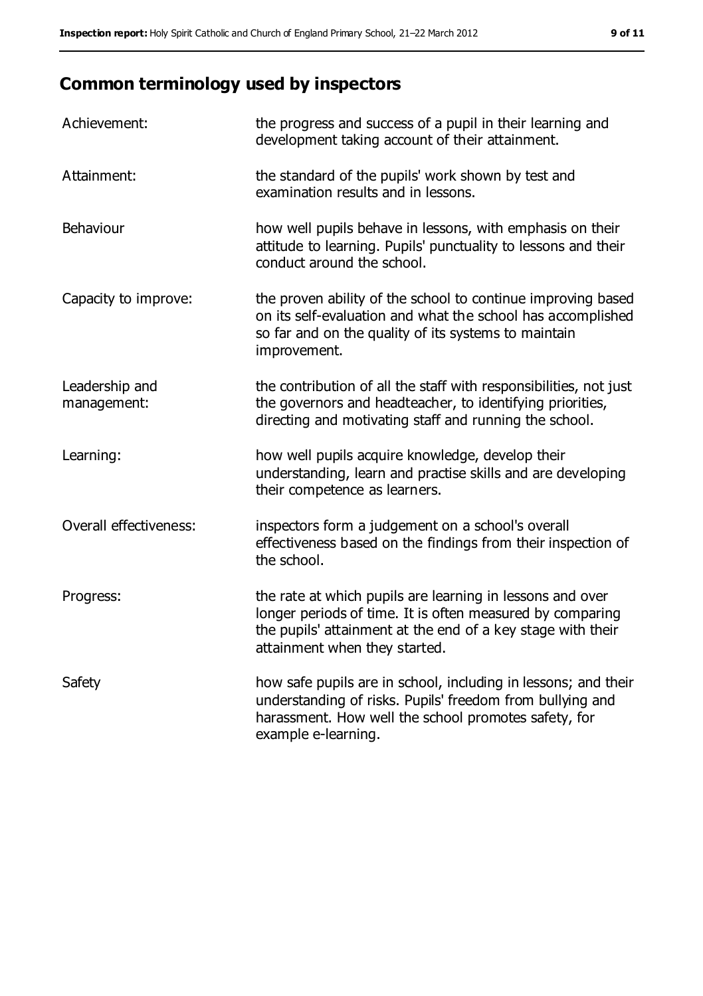# **Common terminology used by inspectors**

| Achievement:                  | the progress and success of a pupil in their learning and<br>development taking account of their attainment.                                                                                                           |
|-------------------------------|------------------------------------------------------------------------------------------------------------------------------------------------------------------------------------------------------------------------|
| Attainment:                   | the standard of the pupils' work shown by test and<br>examination results and in lessons.                                                                                                                              |
| Behaviour                     | how well pupils behave in lessons, with emphasis on their<br>attitude to learning. Pupils' punctuality to lessons and their<br>conduct around the school.                                                              |
| Capacity to improve:          | the proven ability of the school to continue improving based<br>on its self-evaluation and what the school has accomplished<br>so far and on the quality of its systems to maintain<br>improvement.                    |
| Leadership and<br>management: | the contribution of all the staff with responsibilities, not just<br>the governors and headteacher, to identifying priorities,<br>directing and motivating staff and running the school.                               |
| Learning:                     | how well pupils acquire knowledge, develop their<br>understanding, learn and practise skills and are developing<br>their competence as learners.                                                                       |
| Overall effectiveness:        | inspectors form a judgement on a school's overall<br>effectiveness based on the findings from their inspection of<br>the school.                                                                                       |
| Progress:                     | the rate at which pupils are learning in lessons and over<br>longer periods of time. It is often measured by comparing<br>the pupils' attainment at the end of a key stage with their<br>attainment when they started. |
| Safety                        | how safe pupils are in school, including in lessons; and their<br>understanding of risks. Pupils' freedom from bullying and<br>harassment. How well the school promotes safety, for<br>example e-learning.             |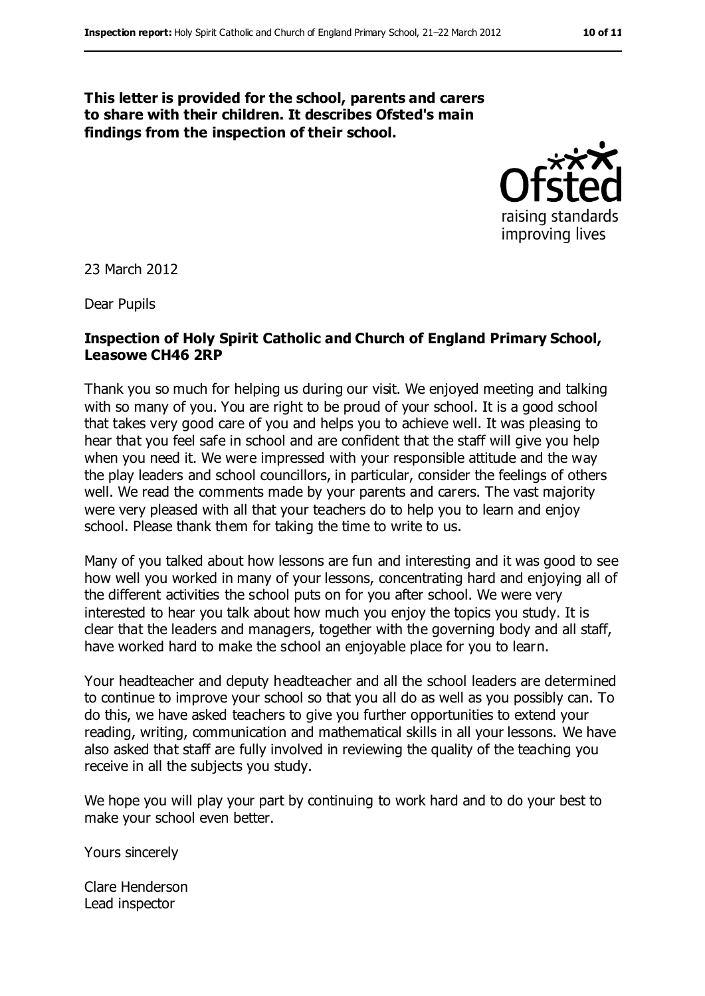#### **This letter is provided for the school, parents and carers to share with their children. It describes Ofsted's main findings from the inspection of their school.**



23 March 2012

Dear Pupils

#### **Inspection of Holy Spirit Catholic and Church of England Primary School, Leasowe CH46 2RP**

Thank you so much for helping us during our visit. We enjoyed meeting and talking with so many of you. You are right to be proud of your school. It is a good school that takes very good care of you and helps you to achieve well. It was pleasing to hear that you feel safe in school and are confident that the staff will give you help when you need it. We were impressed with your responsible attitude and the way the play leaders and school councillors, in particular, consider the feelings of others well. We read the comments made by your parents and carers. The vast majority were very pleased with all that your teachers do to help you to learn and enjoy school. Please thank them for taking the time to write to us.

Many of you talked about how lessons are fun and interesting and it was good to see how well you worked in many of your lessons, concentrating hard and enjoying all of the different activities the school puts on for you after school. We were very interested to hear you talk about how much you enjoy the topics you study. It is clear that the leaders and managers, together with the governing body and all staff, have worked hard to make the school an enjoyable place for you to learn.

Your headteacher and deputy headteacher and all the school leaders are determined to continue to improve your school so that you all do as well as you possibly can. To do this, we have asked teachers to give you further opportunities to extend your reading, writing, communication and mathematical skills in all your lessons. We have also asked that staff are fully involved in reviewing the quality of the teaching you receive in all the subjects you study.

We hope you will play your part by continuing to work hard and to do your best to make your school even better.

Yours sincerely

Clare Henderson Lead inspector